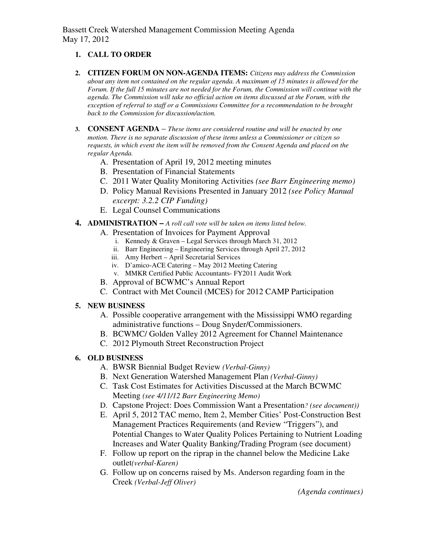Bassett Creek Watershed Management Commission Meeting Agenda May 17, 2012

### **1. CALL TO ORDER**

- **2. CITIZEN FORUM ON NON-AGENDA ITEMS:** *Citizens may address the Commission about any item not contained on the regular agenda. A maximum of 15 minutes is allowed for the Forum. If the full 15 minutes are not needed for the Forum, the Commission will continue with the agenda. The Commission will take no official action on items discussed at the Forum, with the exception of referral to staff or a Commissions Committee for a recommendation to be brought back to the Commission for discussion/action.*
- **3. CONSENT AGENDA** *These items are considered routine and will be enacted by one motion. There is no separate discussion of these items unless a Commissioner or citizen so requests, in which event the item will be removed from the Consent Agenda and placed on the regular Agenda.* 
	- A. Presentation of April 19, 2012 meeting minutes
	- B. Presentation of Financial Statements
	- C. 2011 Water Quality Monitoring Activities *(see Barr Engineering memo)*
	- D. Policy Manual Revisions Presented in January 2012 *(see Policy Manual excerpt: 3.2.2 CIP Funding)*
	- E. Legal Counsel Communications
- **4. ADMINISTRATION** *A roll call vote will be taken on items listed below.*
	- A. Presentation of Invoices for Payment Approval
		- i. Kennedy & Graven Legal Services through March 31, 2012
		- ii. Barr Engineering Engineering Services through April 27, 2012
		- iii. Amy Herbert April Secretarial Services
		- iv. D'amico-ACE Catering May 2012 Meeting Catering
		- v. MMKR Certified Public Accountants- FY2011 Audit Work
	- B. Approval of BCWMC's Annual Report
	- C. Contract with Met Council (MCES) for 2012 CAMP Participation

#### **5. NEW BUSINESS**

- A. Possible cooperative arrangement with the Mississippi WMO regarding administrative functions – Doug Snyder/Commissioners.
- B. BCWMC/ Golden Valley 2012 Agreement for Channel Maintenance
- C. 2012 Plymouth Street Reconstruction Project

### **6. OLD BUSINESS**

- A. BWSR Biennial Budget Review *(Verbal-Ginny)*
- B. Next Generation Watershed Management Plan *(Verbal-Ginny)*
- C. Task Cost Estimates for Activities Discussed at the March BCWMC Meeting *(see 4/11/12 Barr Engineering Memo)*
- D. Capstone Project: Does Commission Want a Presentation*? (see document))*
- E. April 5, 2012 TAC memo, Item 2, Member Cities' Post-Construction Best Management Practices Requirements (and Review "Triggers"), and Potential Changes to Water Quality Polices Pertaining to Nutrient Loading Increases and Water Quality Banking/Trading Program (see document)
- F. Follow up report on the riprap in the channel below the Medicine Lake outlet*(verbal-Karen)*
- G. Follow up on concerns raised by Ms. Anderson regarding foam in the Creek *(Verbal-Jeff Oliver)*

*(Agenda continues)*